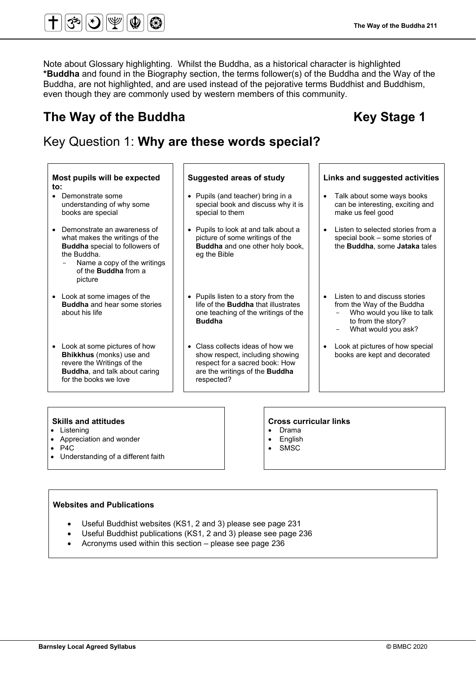Note about Glossary highlighting. Whilst the Buddha, as a historical character is highlighted **\*Buddha** and found in the Biography section, the terms follower(s) of the Buddha and the Way of the Buddha, are not highlighted, and are used instead of the pejorative terms Buddhist and Buddhism, even though they are commonly used by western members of this community.

# The Way of the Buddha **Key Stage 1 Key Stage 1**

# Key Question 1: **Why are these words special?**

#### **Most pupils will be expected to: Suggested areas of study Links and suggested activities** • Demonstrate some understanding of why some books are special • Pupils (and teacher) bring in a special book and discuss why it is special to them • Talk about some ways books can be interesting, exciting and make us feel good • Demonstrate an awareness of what makes the writings of the **Buddha** special to followers of the Buddha. Name a copy of the writings of the **Buddha** from a picture • Pupils to look at and talk about a picture of some writings of the **Buddha** and one other holy book, eg the Bible • Listen to selected stories from a special book – some stories of the **Buddha**, some **Jataka** tales • Look at some images of the **Buddha** and hear some stories about his life • Pupils listen to a story from the life of the **Buddha** that illustrates one teaching of the writings of the **Buddha** Listen to and discuss stories from the Way of the Buddha Who would you like to talk to from the story? What would you ask? • Look at some pictures of how **Bhikkhus** (monks) use and revere the Writings of the **Buddha**, and talk about caring for the books we love • Class collects ideas of how we show respect, including showing respect for a sacred book: How are the writings of the **Buddha** respected? Look at pictures of how special books are kept and decorated

- **Listening**
- Appreciation and wonder
- $\bullet$  P4C
- Understanding of a different faith

# **Skills and attitudes Cross curricular links**

- Drama
- **English**
- **SMSC**

# **Websites and Publications**

- Useful Buddhist websites (KS1, 2 and 3) please see page 231
- Useful Buddhist publications (KS1, 2 and 3) please see page 236
- Acronyms used within this section please see page 236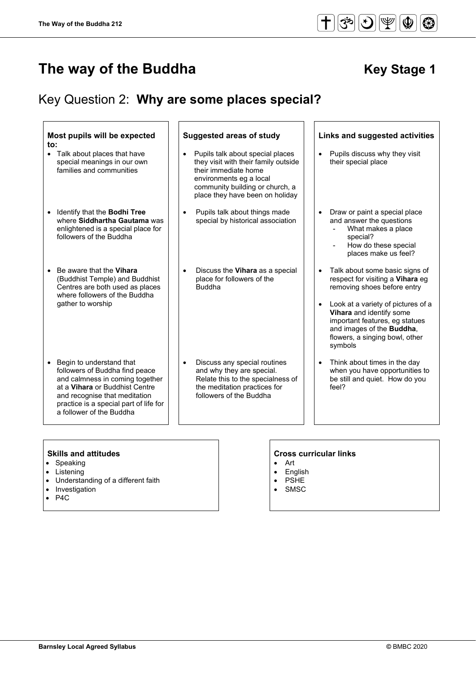# Key Question 2: **Why are some places special?**

| Most pupils will be expected<br>$\mathsf{to}$ :<br>• Talk about places that have                                                                                                                                                                    | <b>Suggested areas of study</b><br>Pupils talk about special places                                                                                           | Links and suggested activities<br>Pupils discuss why they visit<br>$\bullet$                                                                                                                                                                                                                         |
|-----------------------------------------------------------------------------------------------------------------------------------------------------------------------------------------------------------------------------------------------------|---------------------------------------------------------------------------------------------------------------------------------------------------------------|------------------------------------------------------------------------------------------------------------------------------------------------------------------------------------------------------------------------------------------------------------------------------------------------------|
| special meanings in our own<br>families and communities                                                                                                                                                                                             | they visit with their family outside<br>their immediate home<br>environments eg a local<br>community building or church, a<br>place they have been on holiday | their special place                                                                                                                                                                                                                                                                                  |
| Identify that the Bodhi Tree<br>$\bullet$<br>where Siddhartha Gautama was<br>enlightened is a special place for<br>followers of the Buddha                                                                                                          | Pupils talk about things made<br>$\bullet$<br>special by historical association                                                                               | Draw or paint a special place<br>and answer the questions<br>What makes a place<br>special?<br>How do these special<br>places make us feel?                                                                                                                                                          |
| Be aware that the Vihara<br>$\bullet$<br>(Buddhist Temple) and Buddhist<br>Centres are both used as places<br>where followers of the Buddha<br>gather to worship                                                                                    | Discuss the Vihara as a special<br>$\bullet$<br>place for followers of the<br><b>Buddha</b>                                                                   | Talk about some basic signs of<br>$\bullet$<br>respect for visiting a Vihara eg<br>removing shoes before entry<br>Look at a variety of pictures of a<br>Vihara and identify some<br>important features, eg statues<br>and images of the <b>Buddha</b> ,<br>flowers, a singing bowl, other<br>symbols |
| Begin to understand that<br>$\bullet$<br>followers of Buddha find peace<br>and calmness in coming together<br>at a Vihara or Buddhist Centre<br>and recognise that meditation<br>practice is a special part of life for<br>a follower of the Buddha | Discuss any special routines<br>and why they are special.<br>Relate this to the specialness of<br>the meditation practices for<br>followers of the Buddha     | Think about times in the day<br>$\bullet$<br>when you have opportunities to<br>be still and quiet. How do you<br>feel?                                                                                                                                                                               |

- Speaking
- Listening
- Understanding of a different faith
- Investigation
- P4C

- Art
- English
- PSHE
- SMSC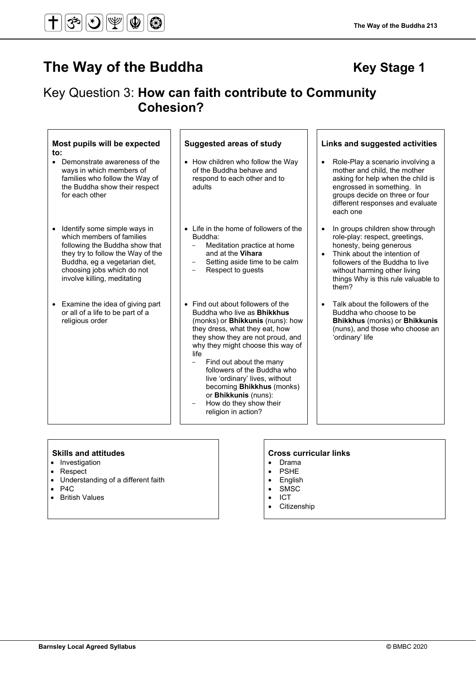# Key Question 3: **How can faith contribute to Community Cohesion?**

life

#### **Most pupils will be expected to: Suggested areas of study Links and suggested activities** • Demonstrate awareness of the ways in which members of families who follow the Way of the Buddha show their respect for each other • How children who follow the Way of the Buddha behave and respond to each other and to adults • Role-Play a scenario involving a mother and child, the mother asking for help when the child is engrossed in something. In groups decide on three or four different responses and evaluate each one • Identify some simple ways in which members of families following the Buddha show that they try to follow the Way of the Buddha, eg a vegetarian diet, choosing jobs which do not involve killing, meditating • Life in the home of followers of the Buddha: Meditation practice at home and at the **Vihara** Setting aside time to be calm Respect to quests • In groups children show through role-play: respect, greetings, honesty, being generous Think about the intention of followers of the Buddha to live without harming other living things Why is this rule valuable to them? • Examine the idea of giving part or all of a life to be part of a religious order • Find out about followers of the Buddha who live as **Bhikkhus** (monks) or **Bhikkunis** (nuns): how they dress, what they eat, how they show they are not proud, and why they might choose this way of • Talk about the followers of the Buddha who choose to be **Bhikkhus** (monks) or **Bhikkunis**  (nuns), and those who choose an 'ordinary' life

Find out about the many followers of the Buddha who live 'ordinary' lives, without becoming **Bhikkhus** (monks) or **Bhikkunis** (nuns): How do they show their religion in action?

- **Investigation**
- Respect
- Understanding of a different faith
- $\bullet$  P4C
- British Values

- Drama
- **PSHE**
- English
- SMSC
- ICT • Citizenship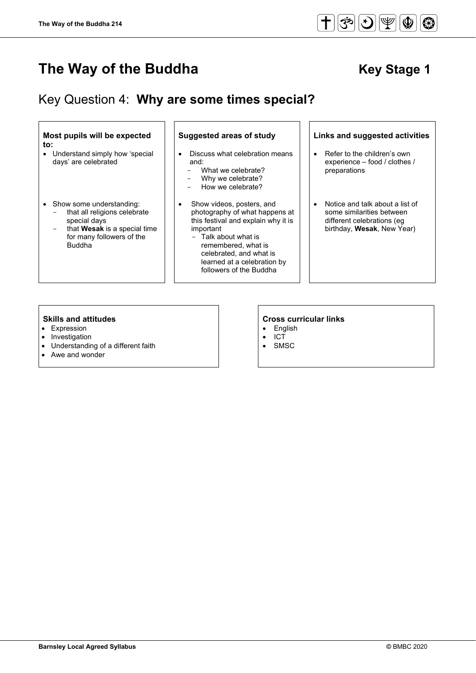$\overline{a}$ 

# **The Way of the Buddha** Key Stage 1

# Key Question 4: **Why are some times special?**

### **Most pupils will be expected to:**

• Understand simply how 'special days' are celebrated

#### • Show some understanding:

- that all religions celebrate special days
- that **Wesak** is a special time for many followers of the Buddha

- Discuss what celebration means and:
	- What we celebrate?<br>- Why we celebrate?
	- Why we celebrate?<br>- How we celebrate?
	- How we celebrate?
- Show videos, posters, and photography of what happens at this festival and explain why it is important
	- Talk about what is remembered, what is celebrated, and what is learned at a celebration by followers of the Buddha

### **Suggested areas of study Links and suggested activities**

- Refer to the children's own experience – food / clothes / preparations
- Notice and talk about a list of some similarities between different celebrations (eg birthday, **Wesak**, New Year)

- Expression
- **Investigation**
- Understanding of a different faith
- Awe and wonder

- English
- ICT<br>• SM:
- **SMSC**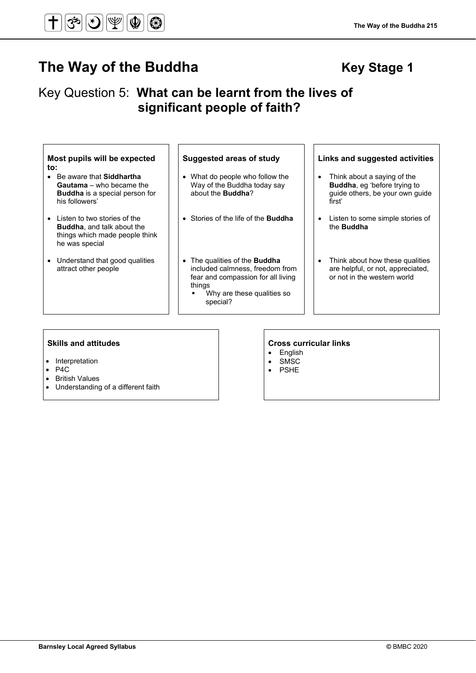# The Way of the Buddha **Key Stage 1 Key Stage 1**

# Key Question 5: **What can be learnt from the lives of significant people of faith?**

| Most pupils will be expected<br>to:                                                                                           | <b>Suggested areas of study</b>                                                                                                                                   | Links and suggested activities                                                                                               |
|-------------------------------------------------------------------------------------------------------------------------------|-------------------------------------------------------------------------------------------------------------------------------------------------------------------|------------------------------------------------------------------------------------------------------------------------------|
| Be aware that <b>Siddhartha</b><br><b>Gautama</b> – who became the<br><b>Buddha</b> is a special person for<br>his followers' | • What do people who follow the<br>Way of the Buddha today say<br>about the <b>Buddha?</b>                                                                        | Think about a saying of the<br>$\bullet$<br><b>Buddha, eq 'before trying to</b><br>guide others, be your own guide<br>first' |
| Listen to two stories of the<br><b>Buddha, and talk about the</b><br>things which made people think<br>he was special         | • Stories of the life of the <b>Buddha</b>                                                                                                                        | Listen to some simple stories of<br>$\bullet$<br>the <b>Buddha</b>                                                           |
| Understand that good qualities<br>attract other people                                                                        | • The qualities of the <b>Buddha</b><br>included calmness, freedom from<br>fear and compassion for all living<br>things<br>Why are these qualities so<br>special? | Think about how these qualities<br>$\bullet$<br>are helpful, or not, appreciated,<br>or not in the western world             |

- Interpretation
- P4C
- British Values
- Understanding of a different faith

- English
- **SMSC**
- PSHE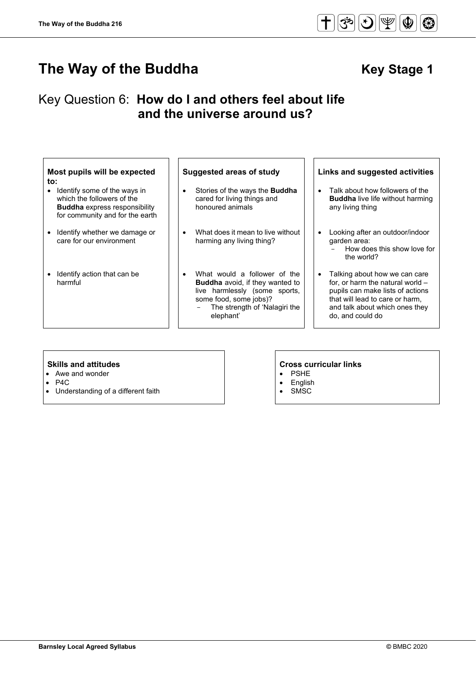# The Way of the Buddha **Key Stage 1 Key Stage 1**

# Key Question 6: **How do I and others feel about life and the universe around us?**

#### **Most pupils will be expected to:**

- Identify some of the ways in which the followers of the **Buddha** express responsibility for community and for the earth
- Identify whether we damage or care for our environment
- Identify action that can be harmful

- Stories of the ways the **Buddha** cared for living things and honoured animals
- What does it mean to live without harming any living thing?
- What would a follower of the **Buddha** avoid, if they wanted to live harmlessly (some sports, some food, some jobs)? The strength of 'Nalagiri the elephant'

• PSHE **English** • SMSC

## **Suggested areas of study Links and suggested activities**

- Talk about how followers of the **Buddha** live life without harming any living thing
- Looking after an outdoor/indoor garden area:
	- How does this show love for the world?
- Talking about how we can care for, or harm the natural world – pupils can make lists of actions that will lead to care or harm, and talk about which ones they do, and could do

- Awe and wonder
- P4C
- Understanding of a different faith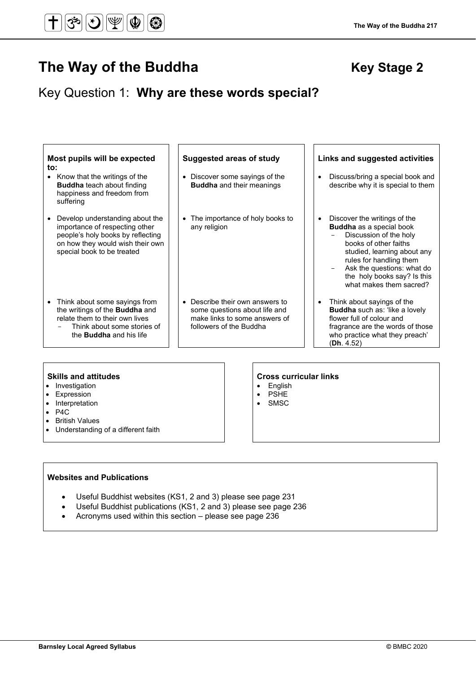# Key Question 1: **Why are these words special?**

| Most pupils will be expected<br>to:<br>• Know that the writings of the<br><b>Buddha</b> teach about finding<br>happiness and freedom from<br>suffering                                | <b>Suggested areas of study</b><br>• Discover some sayings of the<br><b>Buddha</b> and their meanings                        | Links and suggested activities<br>Discuss/bring a special book and<br>$\bullet$<br>describe why it is special to them                                                                                                                                                      |
|---------------------------------------------------------------------------------------------------------------------------------------------------------------------------------------|------------------------------------------------------------------------------------------------------------------------------|----------------------------------------------------------------------------------------------------------------------------------------------------------------------------------------------------------------------------------------------------------------------------|
| Develop understanding about the<br>$\bullet$<br>importance of respecting other<br>people's holy books by reflecting<br>on how they would wish their own<br>special book to be treated | • The importance of holy books to<br>any religion                                                                            | Discover the writings of the<br>$\bullet$<br>Buddha as a special book<br>Discussion of the holy<br>books of other faiths<br>studied, learning about any<br>rules for handling them<br>Ask the questions: what do<br>the holy books say? Is this<br>what makes them sacred? |
| • Think about some sayings from<br>the writings of the <b>Buddha</b> and<br>relate them to their own lives<br>Think about some stories of<br>the <b>Buddha</b> and his life           | • Describe their own answers to<br>some questions about life and<br>make links to some answers of<br>followers of the Buddha | Think about sayings of the<br>$\bullet$<br>Buddha such as: 'like a lovely<br>flower full of colour and<br>fragrance are the words of those<br>who practice what they preach'                                                                                               |

- Investigation
- Expression
- Interpretation
- P4C
- British Values
- Understanding of a different faith

#### **Skills and attitudes Cross curricular links**

(**Dh**. 4.52)

- English
- PSHE
- SMSC

### **Websites and Publications**

- Useful Buddhist websites (KS1, 2 and 3) please see page 231
- Useful Buddhist publications (KS1, 2 and 3) please see page 236
- Acronyms used within this section please see page 236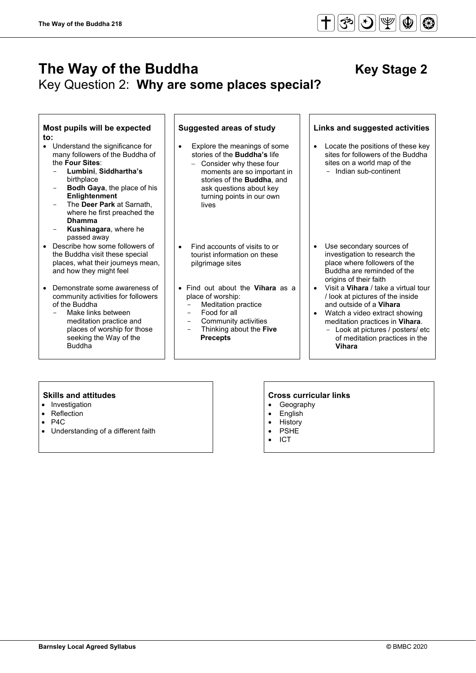# **The Way of the Buddha** Key Stage 2 Key Question 2: **Why are some places special?**

### **Most pupils will be expected to:**

- Understand the significance for many followers of the Buddha of the **Four Sites**:
	- **Lumbini**, **Siddhartha's** birthplace
	- **Bodh Gaya**, the place of his **Enlightenment**
	- The **Deer Park** at Sarnath, where he first preached the **Dhamma**
	- Kushinagara, where he passed away
- Describe how some followers of the Buddha visit these special places, what their journeys mean, and how they might feel
- Demonstrate some awareness of community activities for followers of the Buddha
	- Make links between meditation practice and places of worship for those seeking the Way of the Buddha

- Explore the meanings of some stories of the **Buddha's** life
- − Consider why these four moments are so important in stories of the **Buddha**, and ask questions about key turning points in our own lives
- Find accounts of visits to or tourist information on these pilgrimage sites
- Find out about the **Vihara** as a place of worship:
	- Meditation practice
	- Food for all<br>- Community
	- Community activities - Thinking about the **Five**
		- **Precepts**

#### **Suggested areas of study Links and suggested activities**

• Locate the positions of these key sites for followers of the Buddha sites on a world map of the - Indian sub-continent

- Use secondary sources of investigation to research the place where followers of the Buddha are reminded of the origins of their faith
- Visit a **Vihara** / take a virtual tour / look at pictures of the inside and outside of a **Vihara**
- Watch a video extract showing meditation practices in **Vihara**.
	- Look at pictures / posters/ etc of meditation practices in the **Vihara**

- Investigation
- **Reflection**
- P<sub>4</sub>C
- Understanding of a different faith

- Geography
- **English**
- **History**
- **PSHE** • ICT
-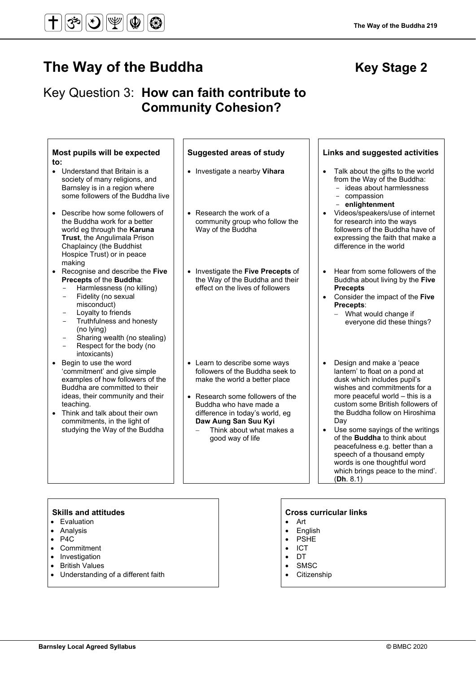# Key Question 3: **How can faith contribute to Community Cohesion?**

| Most pupils will be expected<br>to:                                                                                                                                                                                                                                                                                               | <b>Suggested areas of study</b>                                                                                                                                                                                                                                            | Links and suggested activities                                                                                                                                                                                                                                                                                                                                                                                                                                                      |
|-----------------------------------------------------------------------------------------------------------------------------------------------------------------------------------------------------------------------------------------------------------------------------------------------------------------------------------|----------------------------------------------------------------------------------------------------------------------------------------------------------------------------------------------------------------------------------------------------------------------------|-------------------------------------------------------------------------------------------------------------------------------------------------------------------------------------------------------------------------------------------------------------------------------------------------------------------------------------------------------------------------------------------------------------------------------------------------------------------------------------|
| • Understand that Britain is a<br>society of many religions, and<br>Barnsley is in a region where<br>some followers of the Buddha live                                                                                                                                                                                            | • Investigate a nearby Vihara                                                                                                                                                                                                                                              | Talk about the gifts to the world<br>from the Way of the Buddha:<br>- ideas about harmlessness<br>- compassion<br>- enlightenment                                                                                                                                                                                                                                                                                                                                                   |
| Describe how some followers of<br>the Buddha work for a better<br>world eg through the Karuna<br>Trust, the Angulimala Prison<br>Chaplaincy (the Buddhist<br>Hospice Trust) or in peace<br>making                                                                                                                                 | $\bullet$ Research the work of a<br>community group who follow the<br>Way of the Buddha                                                                                                                                                                                    | Videos/speakers/use of internet<br>for research into the ways<br>followers of the Buddha have of<br>expressing the faith that make a<br>difference in the world                                                                                                                                                                                                                                                                                                                     |
| Recognise and describe the Five<br>Precepts of the Buddha:<br>Harmlessness (no killing)<br>Fidelity (no sexual<br>$\overline{\phantom{0}}$<br>misconduct)<br>Loyalty to friends<br>Truthfulness and honesty<br>$\overline{\phantom{0}}$<br>(no lying)<br>Sharing wealth (no stealing)<br>Respect for the body (no<br>intoxicants) | • Investigate the Five Precepts of<br>the Way of the Buddha and their<br>effect on the lives of followers                                                                                                                                                                  | Hear from some followers of the<br>$\bullet$<br>Buddha about living by the Five<br><b>Precepts</b><br>• Consider the impact of the Five<br>Precepts:<br>- What would change if<br>everyone did these things?                                                                                                                                                                                                                                                                        |
| Begin to use the word<br>'commitment' and give simple<br>examples of how followers of the<br>Buddha are committed to their<br>ideas, their community and their<br>teaching.<br>• Think and talk about their own<br>commitments, in the light of<br>studying the Way of the Buddha                                                 | • Learn to describe some ways<br>followers of the Buddha seek to<br>make the world a better place<br>• Research some followers of the<br>Buddha who have made a<br>difference in today's world, eg<br>Daw Aung San Suu Kyi<br>Think about what makes a<br>good way of life | Design and make a 'peace<br>$\bullet$<br>lantern' to float on a pond at<br>dusk which includes pupil's<br>wishes and commitments for a<br>more peaceful world - this is a<br>custom some British followers of<br>the Buddha follow on Hiroshima<br>Day<br>Use some sayings of the writings<br>of the <b>Buddha</b> to think about<br>peacefulness e.g. better than a<br>speech of a thousand empty<br>words is one thoughtful word<br>which brings peace to the mind'.<br>(Dh. 8.1) |
|                                                                                                                                                                                                                                                                                                                                   |                                                                                                                                                                                                                                                                            |                                                                                                                                                                                                                                                                                                                                                                                                                                                                                     |

- Evaluation
- Analysis
- P4C
- Commitment
- Investigation
- British Values
- Understanding of a different faith

- Art
- English • PSHE
- ICT
- DT
- SMSC
- 
- Citizenship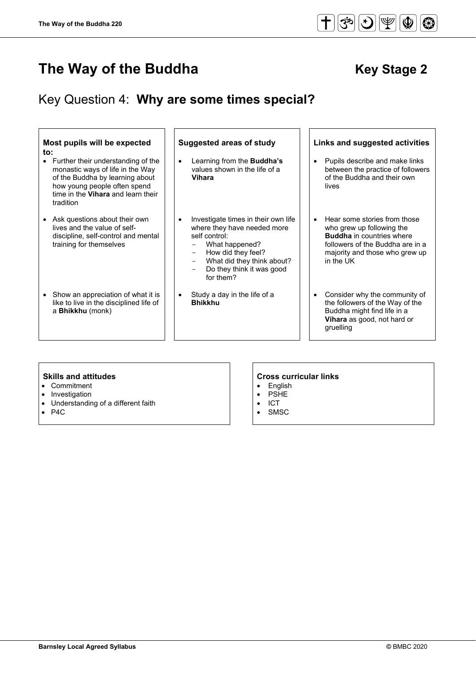# Key Question 4: **Why are some times special?**

| Most pupils will be expected<br>to:<br>Further their understanding of the<br>monastic ways of life in the Way<br>of the Buddha by learning about<br>how young people often spend<br>time in the Vihara and learn their<br>tradition | <b>Suggested areas of study</b><br>Learning from the <b>Buddha's</b><br>$\bullet$<br>values shown in the life of a<br><b>Vihara</b>                                                                                                                                              | Links and suggested activities<br>Pupils describe and make links<br>$\bullet$<br>between the practice of followers<br>of the Buddha and their own<br>lives                                    |
|-------------------------------------------------------------------------------------------------------------------------------------------------------------------------------------------------------------------------------------|----------------------------------------------------------------------------------------------------------------------------------------------------------------------------------------------------------------------------------------------------------------------------------|-----------------------------------------------------------------------------------------------------------------------------------------------------------------------------------------------|
| Ask questions about their own<br>lives and the value of self-<br>discipline, self-control and mental<br>training for themselves                                                                                                     | Investigate times in their own life<br>where they have needed more<br>self control:<br>What happened?<br>How did they feel?<br>$\qquad \qquad -$<br>What did they think about?<br>$\overline{\phantom{0}}$<br>Do they think it was good<br>$\overline{\phantom{0}}$<br>for them? | Hear some stories from those<br>$\bullet$<br>who grew up following the<br><b>Buddha</b> in countries where<br>followers of the Buddha are in a<br>majority and those who grew up<br>in the UK |
| Show an appreciation of what it is<br>like to live in the disciplined life of<br>a Bhikkhu (monk)                                                                                                                                   | Study a day in the life of a<br>$\bullet$<br><b>Bhikkhu</b>                                                                                                                                                                                                                      | Consider why the community of<br>the followers of the Way of the<br>Buddha might find life in a<br>Vihara as good, not hard or<br>gruelling                                                   |

- Commitment
- Investigation
- Understanding of a different faith
- P4C

# **Skills and attitudes**<br> **Cross curricular links**<br> **Cross curricular links**<br> **Cross curricular links**<br> **Cross curricular links**

- **English**
- PSHE
- ICT
- SMSC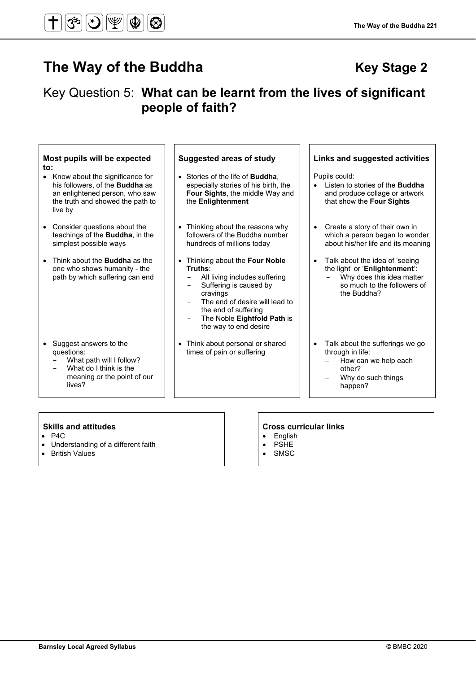# Key Question 5: **What can be learnt from the lives of significant people of faith?**

| Most pupils will be expected<br>to:<br>Know about the significance for<br>his followers, of the <b>Buddha</b> as<br>an enlightened person, who saw<br>the truth and showed the path to<br>live by | <b>Suggested areas of study</b><br>• Stories of the life of <b>Buddha</b> ,<br>especially stories of his birth, the<br><b>Four Sights, the middle Way and</b><br>the Enlightenment                                                             | Links and suggested activities<br>Pupils could:<br>Listen to stories of the <b>Buddha</b><br>and produce collage or artwork<br>that show the Four Sights |
|---------------------------------------------------------------------------------------------------------------------------------------------------------------------------------------------------|------------------------------------------------------------------------------------------------------------------------------------------------------------------------------------------------------------------------------------------------|----------------------------------------------------------------------------------------------------------------------------------------------------------|
| Consider questions about the<br>teachings of the <b>Buddha</b> , in the<br>simplest possible ways                                                                                                 | Thinking about the reasons why<br>$\bullet$<br>followers of the Buddha number<br>hundreds of millions today                                                                                                                                    | Create a story of their own in<br>$\bullet$<br>which a person began to wonder<br>about his/her life and its meaning                                      |
| Think about the <b>Buddha</b> as the<br>one who shows humanity - the<br>path by which suffering can end                                                                                           | Thinking about the Four Noble<br>$\bullet$<br>Truths:<br>All living includes suffering<br>Suffering is caused by<br>cravings<br>The end of desire will lead to<br>the end of suffering<br>The Noble Eightfold Path is<br>the way to end desire | Talk about the idea of 'seeing<br>$\bullet$<br>the light' or 'Enlightenment':<br>Why does this idea matter<br>so much to the followers of<br>the Buddha? |
| Suggest answers to the<br>questions:<br>What path will I follow?                                                                                                                                  | Think about personal or shared<br>$\bullet$<br>times of pain or suffering                                                                                                                                                                      | Talk about the sufferings we go<br>$\bullet$<br>through in life:<br>How can we help each                                                                 |

- What do I think is the meaning or the point of our lives?

• Understanding of a different faith<br>• British Values

# **Skills and attitudes Cross curricular links**

other?

happen?

− Why do such things

- 
- 

**British Values** 

• P4C

# • English<br>• PSHE

- **PSHE**
- SMSC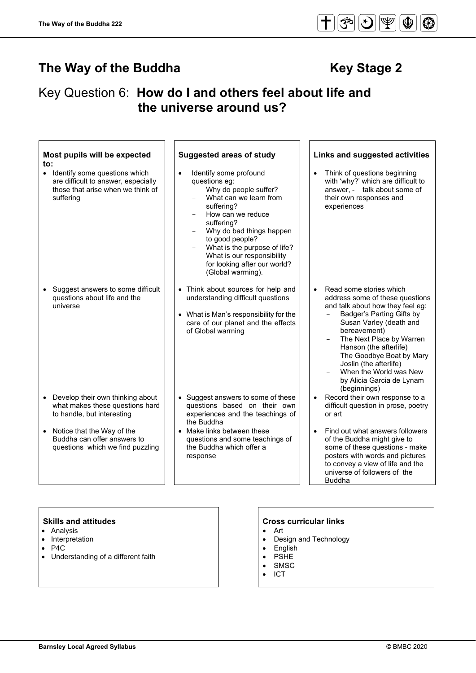$|\mathfrak{S}|$ 

 $|\mathcal{S}|$ 

 $|\Psi|$ 

 $\circledcirc$ 

 $\circledast$ 

# Key Question 6: **How do I and others feel about life and the universe around us?**

| Most pupils will be expected<br>to:                                                                                                 | <b>Suggested areas of study</b>                                                                                                                                                                                                                                                                                                   | Links and suggested activities                                                                                                                                                                                                                                                                                                                            |
|-------------------------------------------------------------------------------------------------------------------------------------|-----------------------------------------------------------------------------------------------------------------------------------------------------------------------------------------------------------------------------------------------------------------------------------------------------------------------------------|-----------------------------------------------------------------------------------------------------------------------------------------------------------------------------------------------------------------------------------------------------------------------------------------------------------------------------------------------------------|
| Identify some questions which<br>$\bullet$<br>are difficult to answer, especially<br>those that arise when we think of<br>suffering | Identify some profound<br>$\bullet$<br>questions eg:<br>Why do people suffer?<br>What can we learn from<br>suffering?<br>How can we reduce<br>suffering?<br>Why do bad things happen<br>$-$<br>to good people?<br>What is the purpose of life?<br>What is our responsibility<br>for looking after our world?<br>(Global warming). | Think of questions beginning<br>$\bullet$<br>with 'why?' which are difficult to<br>answer, - talk about some of<br>their own responses and<br>experiences                                                                                                                                                                                                 |
| Suggest answers to some difficult<br>questions about life and the<br>universe                                                       | • Think about sources for help and<br>understanding difficult questions<br>• What is Man's responsibility for the<br>care of our planet and the effects<br>of Global warming                                                                                                                                                      | Read some stories which<br>address some of these questions<br>and talk about how they feel eg:<br>Badger's Parting Gifts by<br>Susan Varley (death and<br>bereavement)<br>The Next Place by Warren<br>Hanson (the afterlife)<br>The Goodbye Boat by Mary<br>Joslin (the afterlife)<br>When the World was New<br>by Alicia Garcia de Lynam<br>(beginnings) |
| Develop their own thinking about<br>what makes these questions hard<br>to handle, but interesting                                   | • Suggest answers to some of these<br>questions based on their own<br>experiences and the teachings of<br>the Buddha                                                                                                                                                                                                              | Record their own response to a<br>difficult question in prose, poetry<br>or art                                                                                                                                                                                                                                                                           |
| Notice that the Way of the<br>$\bullet$<br>Buddha can offer answers to<br>questions which we find puzzling                          | • Make links between these<br>questions and some teachings of<br>the Buddha which offer a<br>response                                                                                                                                                                                                                             | Find out what answers followers<br>$\bullet$<br>of the Buddha might give to<br>some of these questions - make<br>posters with words and pictures<br>to convey a view of life and the<br>universe of followers of the<br><b>Buddha</b>                                                                                                                     |

- Analysis
- Interpretation
- $P4C$ <br>• Unde
- Understanding of a different faith

### **Skills and attitudes CRS CRS CRS CRS CRS CRS CRS CRS CRS CRS CRS CRS CRS CRS CRS CRS CRS CRS CRS CRS CRS CRS CRS CRS CRS CRS CRS CRS CRS CRS CRS CRS CRS**

- Art
- Design and Technology
- English
- PSHE
- SMSC
- ICT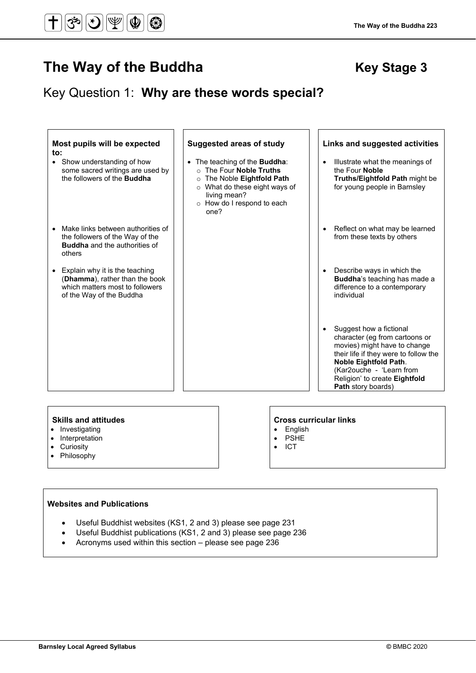# The Way of the Buddha **Key Stage 3 Key Stage 3**

 $\bigotimes$ 

# Key Question 1: **Why are these words special?**

| Most pupils will be expected<br>to:<br>• Show understanding of how<br>some sacred writings are used by<br>the followers of the <b>Buddha</b> | <b>Suggested areas of study</b><br>• The teaching of the Buddha:<br>o The Four Noble Truths<br>The Noble Eightfold Path<br>$\circ$<br>$\circ$ What do these eight ways of<br>living mean?<br>o How do I respond to each<br>one? | Links and suggested activities<br>Illustrate what the meanings of<br>$\bullet$<br>the Four Noble<br><b>Truths/Eightfold Path might be</b><br>for young people in Barnsley                                                                                   |
|----------------------------------------------------------------------------------------------------------------------------------------------|---------------------------------------------------------------------------------------------------------------------------------------------------------------------------------------------------------------------------------|-------------------------------------------------------------------------------------------------------------------------------------------------------------------------------------------------------------------------------------------------------------|
| Make links between authorities of<br>the followers of the Way of the<br><b>Buddha</b> and the authorities of<br>others                       |                                                                                                                                                                                                                                 | Reflect on what may be learned<br>$\bullet$<br>from these texts by others                                                                                                                                                                                   |
| • Explain why it is the teaching<br>(Dhamma), rather than the book<br>which matters most to followers<br>of the Way of the Buddha            |                                                                                                                                                                                                                                 | Describe ways in which the<br>$\bullet$<br>Buddha's teaching has made a<br>difference to a contemporary<br>individual                                                                                                                                       |
|                                                                                                                                              |                                                                                                                                                                                                                                 | Suggest how a fictional<br>$\bullet$<br>character (eg from cartoons or<br>movies) might have to change<br>their life if they were to follow the<br>Noble Eightfold Path.<br>(Kar2ouche - 'Learn from<br>Religion' to create Eightfold<br>Path story boards) |

#### **Skills and attitudes CRS CRS CRS CRS CRS CRS CRS CRS CRS CRS CRS CRS CRS CRS CRS CRS CRS CRS CRS CRS CRS CRS CRS CRS CRS CRS CRS CRS CRS CRS CRS CRS CRS**

- Investigating
- Interpretation
- Curiosity

- English • PSHE
- 
- 
- Philosophy

### • ICT

## **Websites and Publications**

- Useful Buddhist websites (KS1, 2 and 3) please see page 231
- Useful Buddhist publications (KS1, 2 and 3) please see page 236
- Acronyms used within this section please see page 236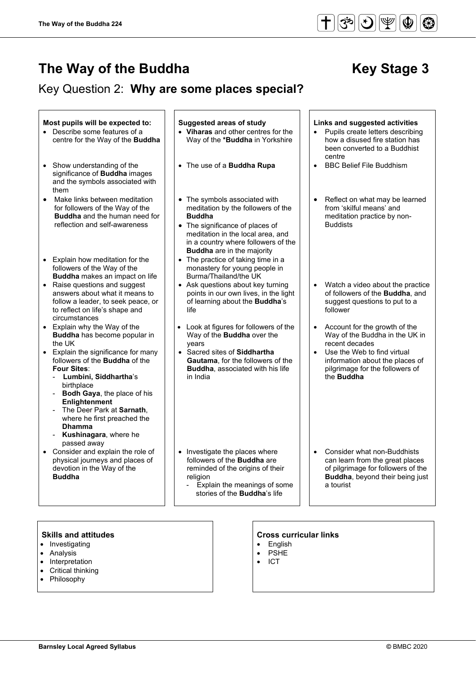$\overline{a}$ 

# **The Way of the Buddha** Key Stage 3

# Key Question 2: **Why are some places special?**

#### Most pupils will be expected to:  $\vert \cdot \vert$  Suggested areas of study  $\vert \cdot \vert$  Links and suggested activities • Describe some features of a centre for the Way of the **Buddha** • **Viharas** and other centres for the Way of the **\*Buddha** in Yorkshire • Pupils create letters describing how a disused fire station has been converted to a Buddhist centre<br>BBC Belief File Buddhism • Show understanding of the significance of **Buddha** images and the symbols associated with them • The use of a **Buddha Rupa** • Make links between meditation for followers of the Way of the **Buddha** and the human need for reflection and self-awareness • The symbols associated with meditation by the followers of the **Buddha** • The significance of places of meditation in the local area, and in a country where followers of the **Buddha** are in the majority • Reflect on what may be learned from 'skilful means' and meditation practice by non-Buddists • Explain how meditation for the followers of the Way of the **Buddha** makes an impact on life The practice of taking time in a monastery for young people in Burma/Thailand/the UK • Raise questions and suggest answers about what it means to follow a leader, to seek peace, or to reflect on life's shape and circumstances • Ask questions about key turning points in our own lives, in the light of learning about the **Buddha**'s life • Watch a video about the practice of followers of the **Buddha**, and suggest questions to put to a follower • Explain why the Way of the **Buddha** has become popular in the UK Look at figures for followers of the Way of the **Buddha** over the years • Account for the growth of the Way of the Buddha in the UK in recent decades • Explain the significance for many followers of the **Buddha** of the **Four Sites**: - **Lumbini, Siddhartha**'s birthplace **Bodh Gaya**, the place of his **Enlightenment** - The Deer Park at **Sarnath**, where he first preached the **Dhamma** - **Kushinagara**, where he passed away • Sacred sites of **Siddhartha Gautama**, for the followers of the **Buddha**, associated with his life in India Use the Web to find virtual information about the places of pilgrimage for the followers of the **Buddha** • Consider and explain the role of physical journeys and places of devotion in the Way of the **Buddha** • Investigate the places where followers of the **Buddha** are reminded of the origins of their religion - Explain the meanings of some stories of the **Buddha**'s life • Consider what non-Buddhists can learn from the great places of pilgrimage for followers of the **Buddha**, beyond their being just a tourist

- Investigating
- Analysis
- Interpretation
- Critical thinking
- **Philosophy**

- **English**
- PSHE
- ICT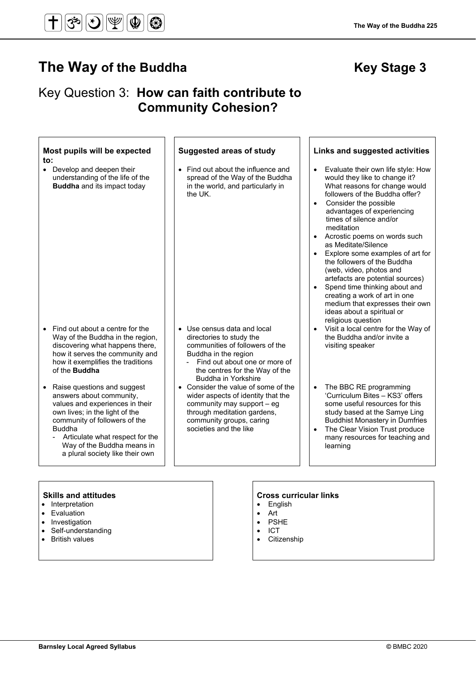# Key Question 3: **How can faith contribute to Community Cohesion?**

| Most pupils will be expected<br>to:                                                                                                                                                                                                                                                             | <b>Suggested areas of study</b>                                                                                                                                                                                     | Links and suggested activities                                                                                                                                                                                                                                                                                                                                                                                                                                                                                                                                                                                     |
|-------------------------------------------------------------------------------------------------------------------------------------------------------------------------------------------------------------------------------------------------------------------------------------------------|---------------------------------------------------------------------------------------------------------------------------------------------------------------------------------------------------------------------|--------------------------------------------------------------------------------------------------------------------------------------------------------------------------------------------------------------------------------------------------------------------------------------------------------------------------------------------------------------------------------------------------------------------------------------------------------------------------------------------------------------------------------------------------------------------------------------------------------------------|
| • Develop and deepen their<br>understanding of the life of the<br><b>Buddha</b> and its impact today                                                                                                                                                                                            | • Find out about the influence and<br>spread of the Way of the Buddha<br>in the world, and particularly in<br>the UK.                                                                                               | Evaluate their own life style: How<br>$\bullet$<br>would they like to change it?<br>What reasons for change would<br>followers of the Buddha offer?<br>Consider the possible<br>advantages of experiencing<br>times of silence and/or<br>meditation<br>Acrostic poems on words such<br>as Meditate/Silence<br>Explore some examples of art for<br>$\bullet$<br>the followers of the Buddha<br>(web, video, photos and<br>artefacts are potential sources)<br>Spend time thinking about and<br>creating a work of art in one<br>medium that expresses their own<br>ideas about a spiritual or<br>religious question |
| Find out about a centre for the<br>$\bullet$<br>Way of the Buddha in the region,<br>discovering what happens there,<br>how it serves the community and<br>how it exemplifies the traditions<br>of the <b>Buddha</b>                                                                             | • Use census data and local<br>directories to study the<br>communities of followers of the<br>Buddha in the region<br>Find out about one or more of<br>the centres for the Way of the<br><b>Buddha in Yorkshire</b> | Visit a local centre for the Way of<br>the Buddha and/or invite a<br>visiting speaker                                                                                                                                                                                                                                                                                                                                                                                                                                                                                                                              |
| Raise questions and suggest<br>$\bullet$<br>answers about community,<br>values and experiences in their<br>own lives; in the light of the<br>community of followers of the<br><b>Buddha</b><br>Articulate what respect for the<br>Way of the Buddha means in<br>a plural society like their own | • Consider the value of some of the<br>wider aspects of identity that the<br>community may support - eg<br>through meditation gardens,<br>community groups, caring<br>societies and the like                        | The BBC RE programming<br>$\bullet$<br>'Curriculum Bites - KS3' offers<br>some useful resources for this<br>study based at the Samye Ling<br><b>Buddhist Monastery in Dumfries</b><br>The Clear Vision Trust produce<br>many resources for teaching and<br>learning                                                                                                                                                                                                                                                                                                                                                |

- Interpretation
- Evaluation
- Investigation
- Self-understanding
- British values

### **Skills and attitudes CRS CRS CRS CRS CRS CRS CRS CRS CRS CRS CRS CRS CRS CRS CRS CRS CRS CRS CRS CRS CRS CRS CRS CRS CRS CRS CRS CRS CRS CRS CRS CRS CRS**

- English
- 
- 
- ICT
- Citizenship

- Art
- PSHE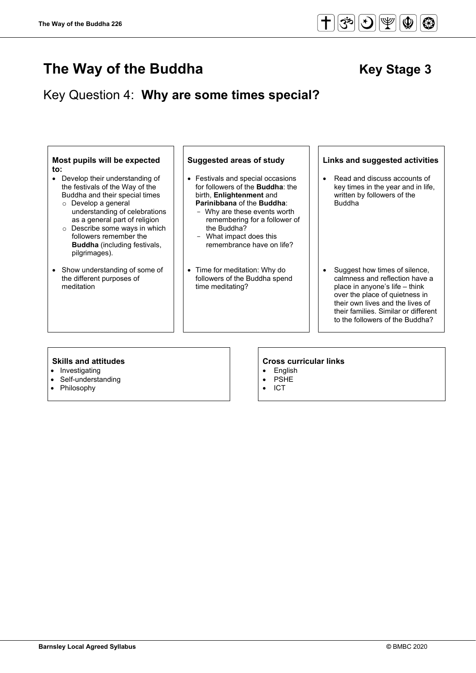

# Key Question 4: **Why are some times special?**



- Investigating
- Self-understanding
- **Philosophy**

- **English**
- **PSHE**
- ICT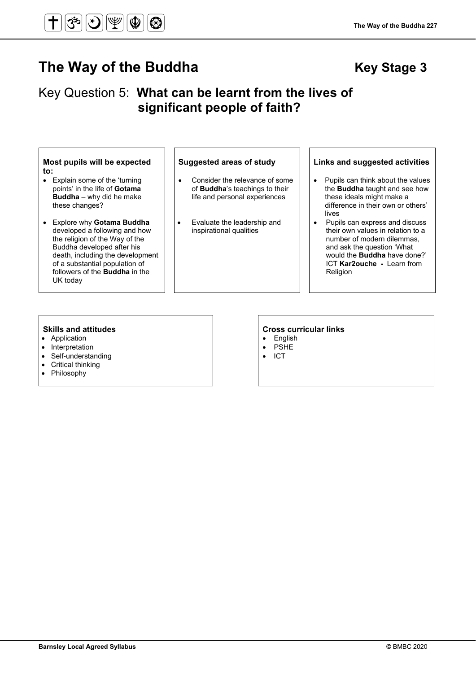### **Barnsley Local Agreed Syllabus ©** BMBC 2020

# Key Question 5: **What can be learnt from the lives of significant people of faith?**

### **Most pupils will be expected to:**

• Explain some of the 'turning points' in the life of **Gotama Buddha** – why did he make these changes?

#### • Explore why **Gotama Buddha** developed a following and how the religion of the Way of the Buddha developed after his death, including the development of a substantial population of followers of the **Buddha** in the UK today

- Consider the relevance of some of **Buddha**'s teachings to their life and personal experiences
- Evaluate the leadership and inspirational qualities

#### **Suggested areas of study Links and suggested activities**

- Pupils can think about the values the **Buddha** taught and see how these ideals might make a difference in their own or others' lives
- Pupils can express and discuss their own values in relation to a number of modern dilemmas, and ask the question 'What would the **Buddha** have done?' ICT **Kar2ouche -** Learn from Religion

- Application
- **Interpretation**
- Self-understanding
- Critical thinking<br>• Philosophy
- **Philosophy**

#### **Skills and attitudes Cross curricular links**

• PSHE<br>• ICT

**The Way of the Buddha 227**

# • English

• ICT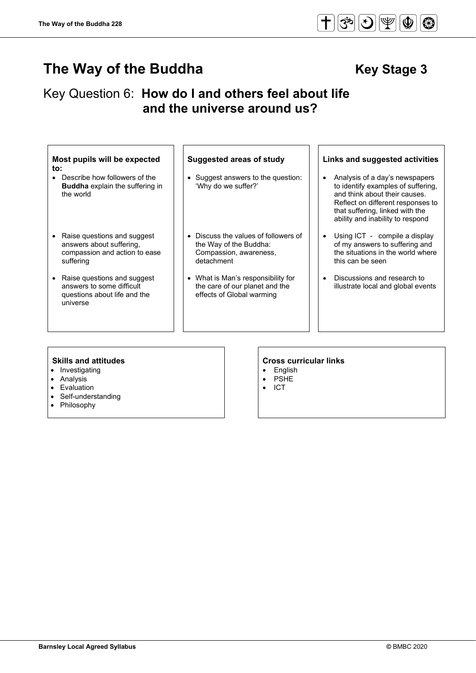# Key Question 6: **How do I and others feel about life and the universe around us?**

| Most pupils will be expected<br>to:<br>Describe how followers of the<br><b>Buddha</b> explain the suffering in<br>the world | <b>Suggested areas of study</b><br>Suggest answers to the question:<br>'Why do we suffer?'           | Links and suggested activities<br>Analysis of a day's newspapers<br>to identify examples of suffering,<br>and think about their causes.<br>Reflect on different responses to<br>that suffering, linked with the<br>ability and inability to respond |
|-----------------------------------------------------------------------------------------------------------------------------|------------------------------------------------------------------------------------------------------|-----------------------------------------------------------------------------------------------------------------------------------------------------------------------------------------------------------------------------------------------------|
| Raise questions and suggest<br>answers about suffering,<br>compassion and action to ease<br>suffering                       | Discuss the values of followers of<br>the Way of the Buddha:<br>Compassion, awareness,<br>detachment | Using ICT - compile a display<br>of my answers to suffering and<br>the situations in the world where<br>this can be seen                                                                                                                            |
| Raise questions and suggest<br>$\bullet$<br>answers to some difficult<br>questions about life and the<br>universe           | • What is Man's responsibility for<br>the care of our planet and the<br>effects of Global warming    | Discussions and research to<br>illustrate local and global events                                                                                                                                                                                   |

- Investigating
- Analysis
- Evaluation
- Self-understanding
- Philosophy

# **Skills and attitudes**<br> **e** Investigating<br> **e** Investigating<br> **e** Folish

- **English**
- PSHE
- ICT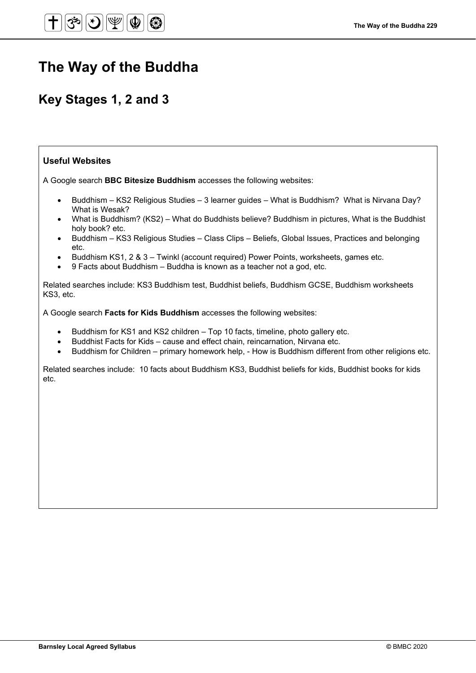# **The Way of the Buddha**

# **Key Stages 1, 2 and 3**

## **Useful Websites**

A Google search **BBC Bitesize Buddhism** accesses the following websites:

- Buddhism KS2 Religious Studies 3 learner guides What is Buddhism? What is Nirvana Day? What is Wesak?
- What is Buddhism? (KS2) What do Buddhists believe? Buddhism in pictures, What is the Buddhist holy book? etc.
- Buddhism KS3 Religious Studies Class Clips Beliefs, Global Issues, Practices and belonging etc.
- Buddhism KS1, 2 & 3 Twinkl (account required) Power Points, worksheets, games etc.
- 9 Facts about Buddhism Buddha is known as a teacher not a god, etc.

Related searches include: KS3 Buddhism test, Buddhist beliefs, Buddhism GCSE, Buddhism worksheets KS3, etc.

A Google search **Facts for Kids Buddhism** accesses the following websites:

- Buddhism for KS1 and KS2 children Top 10 facts, timeline, photo gallery etc.
- Buddhist Facts for Kids cause and effect chain, reincarnation, Nirvana etc.
- Buddhism for Children primary homework help, How is Buddhism different from other religions etc.

Related searches include: 10 facts about Buddhism KS3, Buddhist beliefs for kids, Buddhist books for kids etc.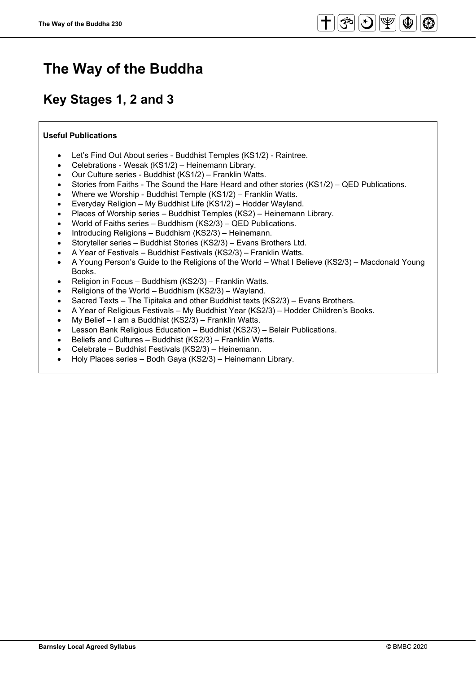# **The Way of the Buddha**

# **Key Stages 1, 2 and 3**

## **Useful Publications**

- Let's Find Out About series Buddhist Temples (KS1/2) Raintree.
- Celebrations Wesak (KS1/2) Heinemann Library.
- Our Culture series Buddhist (KS1/2) Franklin Watts.
- Stories from Faiths The Sound the Hare Heard and other stories (KS1/2) QED Publications.
- Where we Worship Buddhist Temple (KS1/2) Franklin Watts.
- Everyday Religion My Buddhist Life (KS1/2) Hodder Wayland.
- Places of Worship series Buddhist Temples (KS2) Heinemann Library.
- World of Faiths series Buddhism (KS2/3) QED Publications.
- Introducing Religions Buddhism (KS2/3) Heinemann.
- Storyteller series Buddhist Stories (KS2/3) Evans Brothers Ltd.
- A Year of Festivals Buddhist Festivals (KS2/3) Franklin Watts.
- A Young Person's Guide to the Religions of the World What I Believe (KS2/3) Macdonald Young Books.
- Religion in Focus Buddhism (KS2/3) Franklin Watts.
- Religions of the World Buddhism (KS2/3) Wayland.
- Sacred Texts The Tipitaka and other Buddhist texts (KS2/3) Evans Brothers.
- A Year of Religious Festivals My Buddhist Year (KS2/3) Hodder Children's Books.
- My Belief I am a Buddhist (KS2/3) Franklin Watts.
- Lesson Bank Religious Education Buddhist (KS2/3) Belair Publications.
- Beliefs and Cultures Buddhist (KS2/3) Franklin Watts.
- Celebrate Buddhist Festivals (KS2/3) Heinemann.
- Holy Places series Bodh Gaya (KS2/3) Heinemann Library.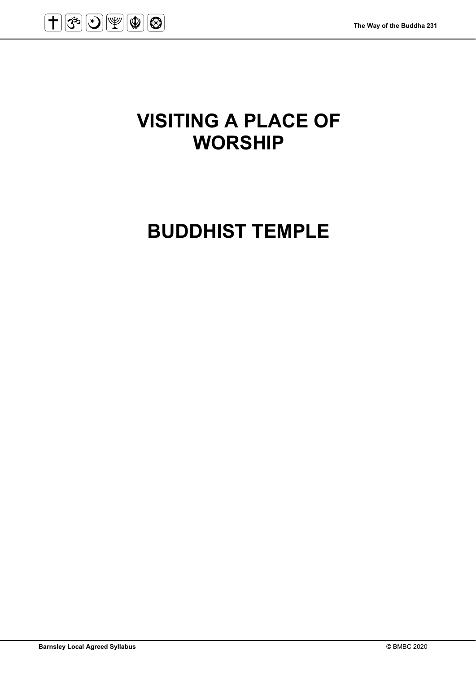

# **VISITING A PLACE OF WORSHIP**

# **BUDDHIST TEMPLE**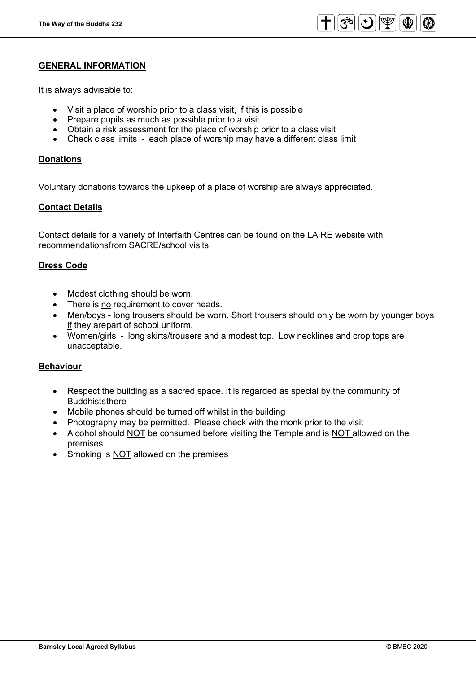

### **GENERAL INFORMATION**

It is always advisable to:

- Visit a place of worship prior to a class visit, if this is possible
- Prepare pupils as much as possible prior to a visit
- Obtain a risk assessment for the place of worship prior to a class visit
- Check class limits each place of worship may have a different class limit

### **Donations**

Voluntary donations towards the upkeep of a place of worship are always appreciated.

### **Contact Details**

Contact details for a variety of Interfaith Centres can be found on the LA RE website with recommendationsfrom SACRE/school visits.

### **Dress Code**

- Modest clothing should be worn.
- There is no requirement to cover heads.
- Men/boys long trousers should be worn. Short trousers should only be worn by younger boys if they arepart of school uniform.
- Women/girls long skirts/trousers and a modest top. Low necklines and crop tops are unacceptable.

### **Behaviour**

- Respect the building as a sacred space. It is regarded as special by the community of **Buddhiststhere**
- Mobile phones should be turned off whilst in the building
- Photography may be permitted. Please check with the monk prior to the visit
- Alcohol should NOT be consumed before visiting the Temple and is NOT allowed on the premises
- Smoking is **NOT** allowed on the premises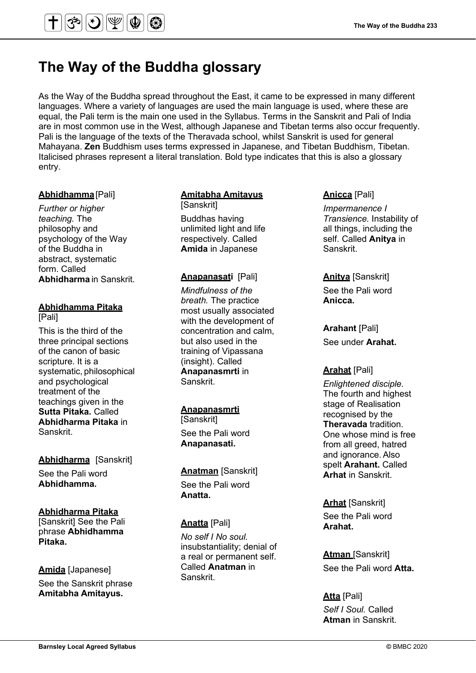# **The Way of the Buddha glossary**

 $|\mathcal{F}||\mathcal{F}||\mathcal{F}|$ 

As the Way of the Buddha spread throughout the East, it came to be expressed in many different languages. Where a variety of languages are used the main language is used, where these are equal, the Pali term is the main one used in the Syllabus. Terms in the Sanskrit and Pali of India are in most common use in the West, although Japanese and Tibetan terms also occur frequently. Pali is the language of the texts of the Theravada school, whilst Sanskrit is used for general Mahayana. **Zen** Buddhism uses terms expressed in Japanese, and Tibetan Buddhism, Tibetan. Italicised phrases represent a literal translation. Bold type indicates that this is also a glossary entry.

### **Abhidhamma**[Pali]

*Further or higher teaching.* The philosophy and psychology of the Way of the Buddha in abstract, systematic form. Called **Abhidharma** in Sanskrit.

#### **Abhidhamma Pitaka** [Pali]

This is the third of the three principal sections of the canon of basic scripture. It is a systematic, philosophical and psychological treatment of the teachings given in the **Sutta Pitaka.** Called **Abhidharma Pitaka** in Sanskrit.

## **Abhidharma** [Sanskrit] See the Pali word **Abhidhamma.**

### **Abhidharma Pitaka**

[Sanskrit] See the Pali phrase **Abhidhamma Pitaka.**

# **Amida** [Japanese] See the Sanskrit phrase **Amitabha Amitayus.**

## **Amitabha Amitayus**

[Sanskrit] Buddhas having unlimited light and life respectively. Called **Amida** in Japanese

### **Anapanasati** [Pali]

*Mindfulness of the breath.* The practice most usually associated with the development of concentration and calm, but also used in the training of Vipassana (insight). Called **Anapanasmrti** in Sanskrit.

# **Anapanasmrti**

**[Sanskrit]** See the Pali word **Anapanasati.**

# **Anatman** [Sanskrit] See the Pali word

**Anatta.**

## **Anatta** [Pali]

*No self I No soul.* insubstantiality; denial of a real or permanent self. Called **Anatman** in Sanskrit.

### **Anicca** [Pali]

*Impermanence I Transience.* Instability of all things, including the self. Called **Anitya** in Sanskrit.

# **Anitya** [Sanskrit] See the Pali word

**Anicca.**

**Arahant** [Pali] See under **Arahat.**

### **Arahat** [Pali]

*Enlightened disciple.*  The fourth and highest stage of Realisation recognised by the **Theravada** tradition. One whose mind is free from all greed, hatred and ignorance.Also spelt **Arahant.** Called **Arhat** in Sanskrit.

## **Arhat** [Sanskrit] See the Pali word **Arahat.**

**Atman** [Sanskrit] See the Pali word **Atta.** 

# **Atta** [Pali] *Self I Soul.* Called

**Atman** in Sanskrit.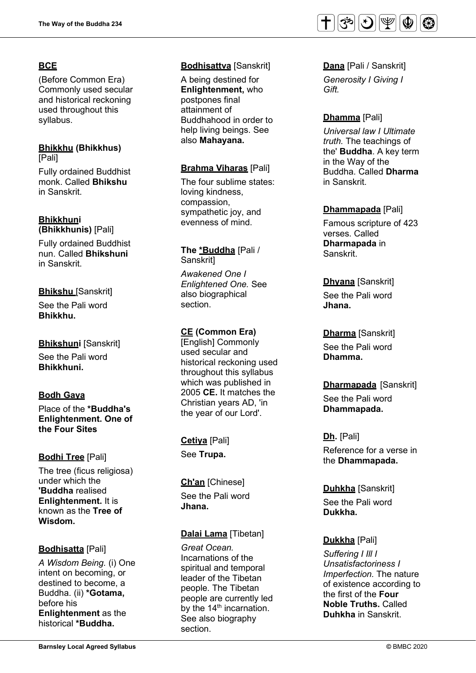# **BCE**

(Before Common Era) Commonly used secular and historical reckoning used throughout this syllabus.

### **Bhikkhu (Bhikkhus)** [Pali]

Fully ordained Buddhist monk. Called **Bhikshu** in Sanskrit.

#### **Bhikkhuni (Bhikkhunis)** [Pali]

Fully ordained Buddhist nun. Called **Bhikshuni** in Sanskrit.

# **Bhikshu** [Sanskrit]

See the Pali word **Bhikkhu.**

# **Bhikshuni** [Sanskrit]

See the Pali word **Bhikkhuni.**

# **Bodh Gaya**

Place of the **\*Buddha's Enlightenment. One of the Four Sites**

# **Bodhi Tree** [Pali]

The tree (ficus religiosa) under which the **'Buddha** realised **Enlightenment.** It is known as the **Tree of Wisdom.**

# **Bodhisatta** [Pali]

*A Wisdom Being.* (i) One intent on becoming, or destined to become, a Buddha. (ii) **\*Gotama,** before his **Enlightenment** as the historical **\*Buddha.**

# **Bodhisattva** [Sanskrit]

A being destined for **Enlightenment,** who postpones final attainment of Buddhahood in order to help living beings. See also **Mahayana.** 

## **Brahma Viharas** [Pali]

The four sublime states: loving kindness, compassion, sympathetic joy, and evenness of mind.

### **The \*Buddha** [Pali / Sanskrit]

*Awakened One I Enlightened One.* See also biographical section.

# **CE (Common Era)**

[English] Commonly used secular and historical reckoning used throughout this syllabus which was published in 2005 **CE.** It matches the Christian years AD, 'in the year of our Lord'.

**Cetiya** [Pali] See **Trupa.**

**Ch'an** [Chinese] See the Pali word **Jhana.**

# **Dalai Lama** [Tibetan]

*Great Ocean.* Incarnations of the spiritual and temporal leader of the Tibetan people. The Tibetan people are currently led by the  $14<sup>th</sup>$  incarnation. See also biography section.



# **Dana** [Pali / Sanskrit]

*Generosity I Giving I Gift.*

# **Dhamma** [Pali]

*Universal law I Ultimate truth.* The teachings of the' **Buddha**. A key term in the Way of the Buddha. Called **Dharma** in Sanskrit.

## **Dhammapada** [Pali]

Famous scripture of 423 verses. Called **Dharmapada** in Sanskrit.

## **Dhyana** [Sanskrit]

See the Pali word **Jhana.**

## **Dharma** [Sanskrit]

See the Pali word **Dhamma.** 

# **Dharmapada** [Sanskrit]

See the Pali word **Dhammapada.** 

### **Dh.** [Pali]

Reference for a verse in the **Dhammapada.**

# **Duhkha** [Sanskrit]

See the Pali word **Dukkha.**

# **Dukkha** [Pali]

*Suffering I Ill I Unsatisfactoriness I Imperfection.* The nature of existence according to the first of the **Four Noble Truths.** Called **Duhkha** in Sanskrit.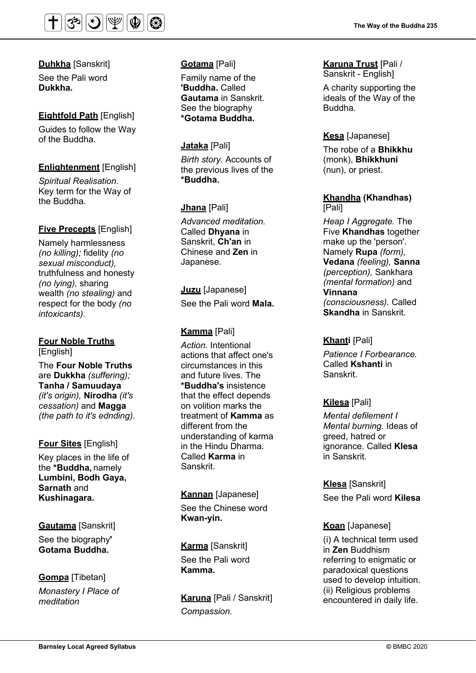

**Duhkha** [Sanskrit] See the Pali word **Dukkha.**

# **Eightfold Path** [English]

Guides to follow the Way of the Buddha.

## **Enlightenment** [English]

*Spiritual Realisation.* Key term for the Way of the Buddha.

## **Five Precepts** [English]

Namely harmlessness *(no killing);* fidelity *(no sexual misconduct),* truthfulness and honesty *(no lying),* sharing wealth *(no stealing)* and respect for the body *(no intoxicants).*

**Four Noble Truths** [English] The **Four Noble Truths** are **Dukkha** *(suffering);* **Tanha / Samuudaya** *(it's origin),* **Nirodha** *(it's cessation)* and **Magga** *(the path to it's ednding).*

### **Four Sites** [English]

Key places in the life of the **\*Buddha,** namely **Lumbini, Bodh Gaya, Sarnath** and **Kushinagara.**

### **Gautama** [Sanskrit]

See the biography**' Gotama Buddha.**

## **Gompa** [Tibetan] *Monastery I Place of*

*meditation*

### **Gotama** [Pali]

Family name of the **'Buddha.** Called **Gautama** in Sanskrit. See the biography **\*Gotama Buddha.**

## **Jataka** [Pali]

*Birth story.* Accounts of the previous lives of the **\*Buddha.**

## **Jhana** [Pali]

*Advanced meditation.* Called **Dhyana** in Sanskrit, **Ch'an** in Chinese and **Zen** in Japanese.

**Juzu** [Japanese] See the Pali word **Mala.**

# **Kamma** [Pali]

*Action.* Intentional actions that affect one's circumstances in this and future lives. The **\*Buddha's** insistence that the effect depends on volition marks the treatment of **Kamma** as different from the understanding of karma in the Hindu Dharma. Called **Karma** in Sanskrit.

### **Kannan** [Japanese]

See the Chinese word **Kwan-yin.**

**Karma** [Sanskrit] See the Pali word **Kamma.**

**Karuna** [Pali / Sanskrit] *Compassion.*

# **Karuna Trust** [Pali /

Sanskrit - English]

A charity supporting the ideals of the Way of the Buddha.

## **Kesa** [Japanese]

The robe of a **Bhikkhu** (monk), **Bhikkhuni** (nun), or priest.

### **Khandha (Khandhas)** [Pali]

*Heap I Aggregate.* The Five **Khandhas** together make up the 'person'. Namely **Rupa** *(form),* **Vedana** *(feeling),* **Sanna**  *(perception),* Sankhara *(mental formation)* and **Vinnana**  *(consciousness).* Called **Skandha** in Sanskrit.

### **Khanti** [Pali]

*Patience I Forbearance.* Called **Kshanti** in Sanskrit.

### **Kilesa** [Pali]

*Mental defilement I Mental burning.* Ideas of greed, hatred or ignorance. Called **Klesa** in Sanskrit.

**Klesa** [Sanskrit]

See the Pali word **Kilesa**

### **Koan** [Japanese]

(i) A technical term used in **Zen** Buddhism referring to enigmatic or paradoxical questions used to develop intuition. (ii) Religious problems encountered in daily life.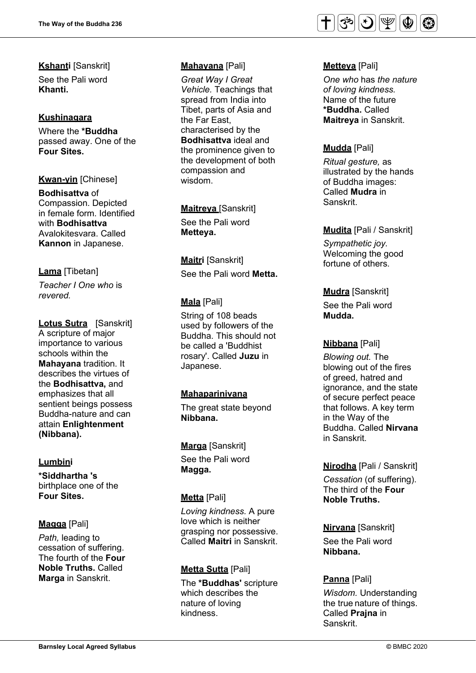**Kshanti** [Sanskrit] See the Pali word **Khanti.** 

## **Kushinagara**

Where the **\*Buddha** passed away. One of the **Four Sites.**

**Kwan-yin** [Chinese]

**Bodhisattva** of Compassion. Depicted in female form. Identified with **Bodhisattva** Avalokitesvara. Called **Kannon** in Japanese.

# **Lama** [Tibetan]

*Teacher I One who* is *revered.* 

**Lotus Sutra** [Sanskrit] A scripture of major importance to various schools within the **Mahayana** tradition. It describes the virtues of the **Bodhisattva,** and emphasizes that all sentient beings possess Buddha-nature and can attain **Enlightenment (Nibbana).** 

# **Lumbini**

**\*Siddhartha 's**  birthplace one of the **Four Sites.**

# **Magga** [Pali]

*Path,* leading to cessation of sufferin g. The fourth of the **Fo ur Noble Truths.** Calle d **Marga** in Sanskrit.

# **Mahayana** [Pali]

*Great Way I Great Vehicle.* Teachings that spread from India into Tibet, parts of Asia and the Far East, characterised by the **Bodhisattva** ideal and the prominence given to the development of both compassion and wisdom.

**Maitreya** [Sanskrit] See the Pali word **Metteya.** 

**Maitri** [Sanskrit] See the Pali word **Metta.** 

# **Mala** [Pali]

String of 108 beads used by followers of the Buddha. This should not be called a 'Buddhist rosary'. Called **Juzu** in Japanese.

# **Mahaparinivana**

The great state beyond **Nibbana.** 

**Marga** [Sanskrit] See the Pali word

**Magga.** 

### **Metta** [Pali]

*Loving kindness.* A pure love which is neither grasping nor possessive. Called **Maitri** in Sanskrit.

### **Metta Sutta** [Pali]

The **\*Buddhas'** scripture which describes the nature of loving kindness.



# **Metteya** [Pali]

*One who* has *the nature of loving kindness.*  Name of the future **\*Buddha.** Called **Maitreya** in Sanskrit.

# **Mudda** [Pali]

*Ritual gesture,* as illustrated by the hands of Buddha images: Called **Mudra** in Sanskrit.

## **Mudita** [Pali / Sanskrit]

*Sympathetic joy.*  Welcoming the good fortune of others.

**Mudra** [Sanskrit]

See the Pali word **Mudda.** 

# **Nibbana** [Pali]

*Blowing out.* The blowing out of the fires of greed, hatred and ignorance, and the state of secure perfect peace that follows. A key term in the Way of the Buddha. Called **Nirvana** in Sanskrit.

# **Nirodha** [Pali / Sanskrit]

*Cessation* (of suffering). The third of the **Four Noble Truths.** 

# **Nirvana** [Sanskrit]

See the Pali word **Nibbana.** 

# **Panna** [Pali]

*Wisdom.* Understanding the true nature of things. Called **Prajna** in Sanskrit.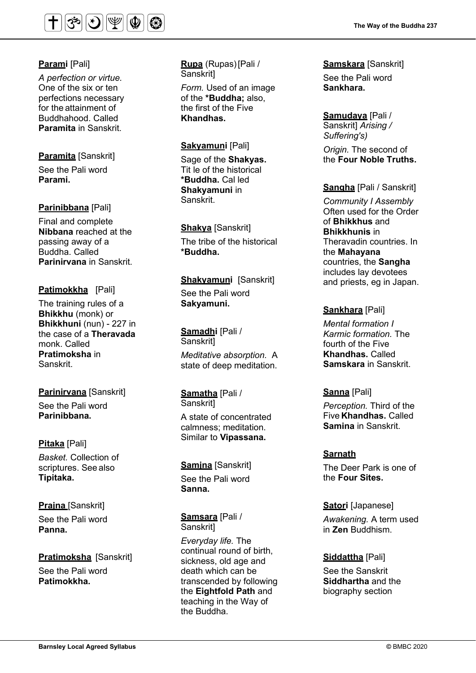

## **Parami** [Pali]

*A perfection or virtue.* One of the six or ten perfections necessary for the attainment of Buddhahood. Called **Paramita** in Sanskrit.

## **Paramita** [Sanskrit]

See the Pali word **Parami.** 

# **Parinibbana** [Pali]

Final and complete **Nibbana** reached at the passing away of a Buddha. Called **Parinirvana** in Sanskrit.

# **Patimokkha** [Pali]

The training rules of a **Bhikkhu** (monk) or **Bhikkhuni** (nun) - 227 in the case of a **Theravada** monk. Called **Pratimoksha** in Sanskrit.

**Parinirvana** [Sanskrit] See the Pali word **Parinibbana.** 

**Pitaka** [Pali] *Basket.* Collection of scriptures. See also **Tipitaka.** 

**Prajna** [Sanskrit] See the Pali word **Panna.** 

**Pratimoksha** [Sanskrit] See the Pali word **Patimokkha.**

**Rupa** (Rupas)[Pali / Sanskrit]

*Form.* Used of an image of the **\*Buddha;** also, the first of the Five **Khandhas.**

## **Sakyamuni** [Pali]

Sage of the **Shakyas.**  Tit le of the historical **\*Buddha.** Cal led **Shakyamuni** in Sanskrit.

**Shakya** [Sanskrit] The tribe of the historical **\*Buddha.** 

**Shakyamuni** [Sanskrit] See the Pali word **Sakyamuni.** 

**Samadhi** [Pali / **Sanskritl** *Meditative absorption.* A state of deep meditation.

**Samatha** [Pali / Sanskrit] A state of concentrated calmness; meditation. Similar to **Vipassana.** 

**Samjna** [Sanskrit] See the Pali word **Sanna.**

**Samsara** [Pali / Sanskrit]

*Everyday life.* The continual round of birth, sickness, old age and death which can be transcended by following the **Eightfold Path** and teaching in the Way of the Buddha.

**The Way of the Buddha 237**

**Samskara** [Sanskrit] See the Pali word **Sankhara.**

**Samudaya** [Pali / Sanskrit] *Arising / Suffering's) Origin.* The second of the **Four Noble Truths.** 

### **Sangha** [Pali / Sanskrit]

*Community I Assembly*  Often used for the Order of **Bhikkhus** and **Bhikkhunis** in Theravadin countries. In the **Mahayana**  countries, the **Sangha** includes lay devotees and priests, eg in Japan.

### **Sankhara** [Pali]

*Mental formation I Karmic formation.* The fourth of the Five **Khandhas.** Called **Samskara** in Sanskrit.

**Sanna** [Pali]

*Perception.* Third of the Five **Khandhas.** Called **Samina** in Sanskrit.

### **Sarnath**

The Deer Park is one of the **Four Sites.** 

**Satori** [Japanese] *Awakening.* A term used in **Zen** Buddhism.

# **Siddattha** [Pali]

See the Sanskrit **Siddhartha** and the biography section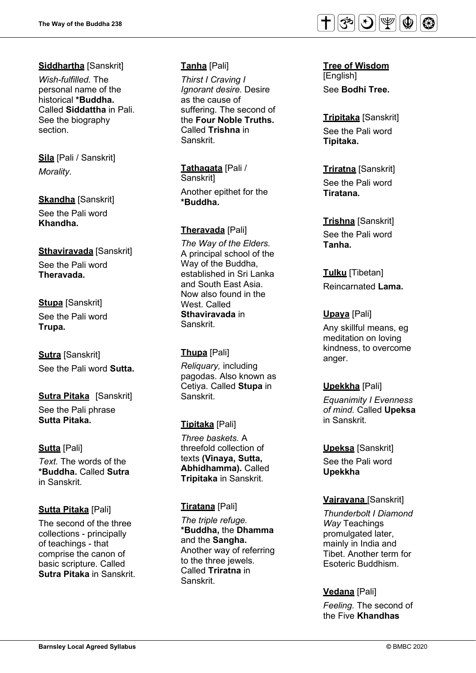# **Siddhartha** [Sanskrit]

*Wish-fulfilled.* The personal name of the historical **\*Buddha.**  Called **Siddattha** in Pali. See the biography section.

**Sila** [Pali / Sanskrit] *Morality.*

**Skandha** [Sanskrit] See the Pali word **Khandha.** 

# **Sthaviravada** [Sanskrit]

See the Pali word **Theravada.** 

## **Stupa** [Sanskrit]

See the Pali word **Trupa.**

**Sutra** [Sanskrit] See the Pali word **Sutta.**

### **Sutra Pitaka** [Sanskrit] See the Pali phrase **Sutta Pitaka.**

**Sutta** [Pali]

*Text.* The words of the **\*Buddha.** Called **Sutra** in Sanskrit.

# **Sutta Pitaka** [Pali]

The second of the three collections - principally of teachings - that comprise the canon of basic scripture. Called **Sutra Pitaka** in Sanskrit.

# **Tanha** [Pali]

*Thirst I Craving I Ignorant desire.* Desire as the cause of suffering. The second of the **Four Noble Truths.** Called **Trishna** in Sanskrit.

**Tathagata** [Pali / Sanskrit] Another epithet for the **\*Buddha.** 

## **Theravada** [Pali]

*The Way of the Elders.*  A principal school of the Way of the Buddha, established in Sri Lanka and South East Asia. Now also found in the West. Called **Sthaviravada** in Sanskrit.

# **Thupa** [Pali]

*Reliquary,* including pagodas. Also known as Cetiya. Called **Stupa** in Sanskrit.

# **Tipitaka** [Pali]

*Three baskets.* A threefold collection of texts **(Vinaya, Sutta, Abhidhamma).** Called **Tripitaka** in Sanskrit.

# **Tiratana** [Pali]

*The triple refuge.* **\*Buddha,** the **Dhamma** and the **Sangha.**  Another way of referring to the three jewels. Called **Triratna** in Sanskrit.



**Tree of Wisdom** [English] See **Bodhi Tree.** 

**Tripitaka** [Sanskrit] See the Pali word **Tipitaka.** 

**Triratna** [Sanskrit] See the Pali word **Tiratana.** 

# **Trishna** [Sanskrit]

See the Pali word **Tanha.**

**Tulku** [Tibetan] Reincarnated **Lama.**

# **Upaya** [Pali]

Any skillful means, eg meditation on loving kindness, to overcome anger.

# **Upekkha** [Pali]

*Equanimity I Evenness of mind.* Called **Upeksa** in Sanskrit.

### **Upeksa** [Sanskrit]

See the Pali word **Upekkha**

# **Vajrayana** [Sanskrit]

*Thunderbolt I Diamond Way* Teachings promulgated later, mainly in India and Tibet. Another term for Esoteric Buddhism.

# **Vedana** [Pali]

*Feeling.* The second of the Five **Khandhas**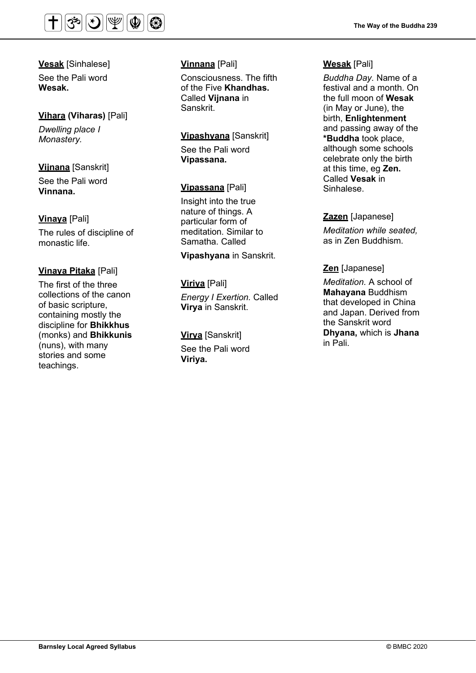

**Vesak** [Sinhalese] See the Pali word **Wesak.**

### **Vihara (Viharas)** [Pali]

*Dwelling place I Monastery.*

### **Vijnana** [Sanskrit]

See the Pali word **Vinnana.** 

**Vinaya** [Pali]

The rules of discipline of monastic life.

### **Vinaya Pitaka** [Pali]

The first of the three collections of the canon of basic scripture, containing mostly the discipline for **Bhikkhus** (monks) and **Bhikkunis**  (nuns), with many stories and some teachings.

# **Vinnana** [Pali]

Consciousness. The fifth of the Five **Khandhas.** Called **Vijnana** in Sanskrit.

## **Vipashyana** [Sanskrit]

See the Pali word **Vipassana.**

### **Vipassana** [Pali]

Insight into the true nature of things. A particular form of meditation. Similar to Samatha. Called

**Vipashyana** in Sanskrit.

# **Viriya** [Pali] *Energy I Exertion.* Called **Virya** in Sanskrit.

### **Virya** [Sanskrit]

See the Pali word **Viriya.**

### **Wesak** [Pali]

*Buddha Day.* Name of a festival and a month. On the full moon of **Wesak** (in May or June), the birth, **Enlightenment** and passing away of the **\*Buddha** took place, although some schools celebrate only the birth at this time, eg **Zen.** Called **Vesak** in Sinhalese.

### **Zazen** [Japanese]

*Meditation while seated,*  as in Zen Buddhism.

### **Zen** [Japanese]

*Meditation.* A school of **Mahayana** Buddhism that developed in China and Japan. Derived from the Sanskrit word **Dhyana,** which is **Jhana** in Pali.